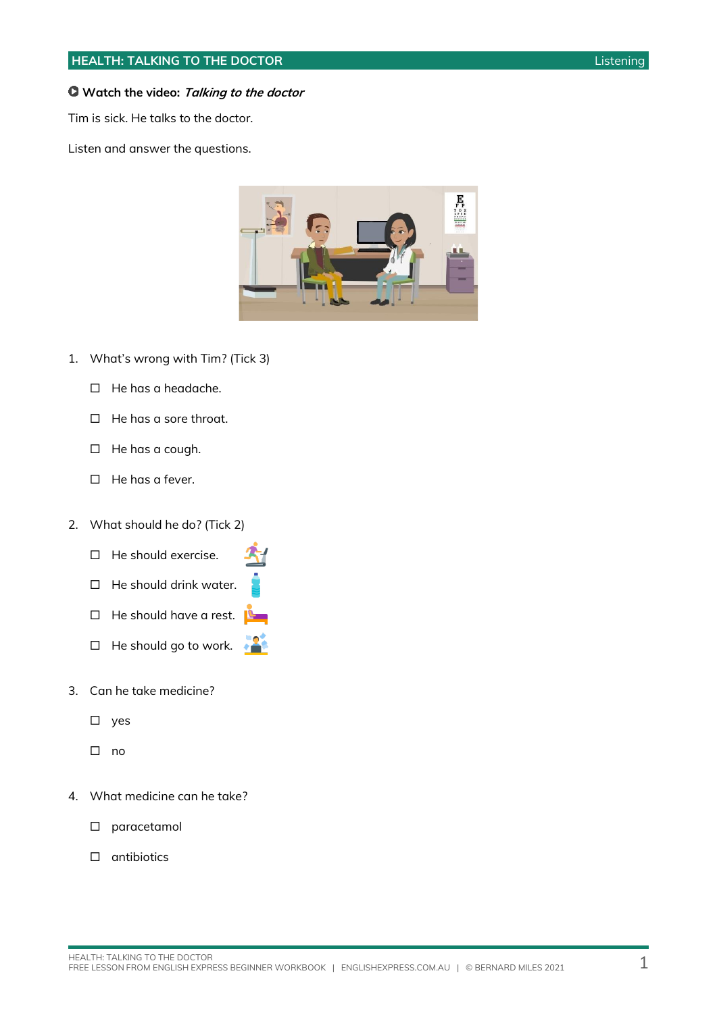#### **Watch the video: Talking to the doctor**

Tim is sick. He talks to the doctor.

Listen and answer the questions.



- 1. What's wrong with Tim? (Tick 3)
	- $\Box$  He has a headache.
	- $\Box$  He has a sore throat.
	- $\Box$  He has a cough.
	- $\Box$  He has a fever.
- 2. What should he do? (Tick 2)
	- $\Box$  He should exercise.
	- $\Box$  He should drink water.
	- $\Box$  He should have a rest.
	- $\Box$  He should go to work.
- 3. Can he take medicine?
	- $\square$  yes
	- $\square$  no
- 4. What medicine can he take?
	- paracetamol
	- $\square$  antibiotics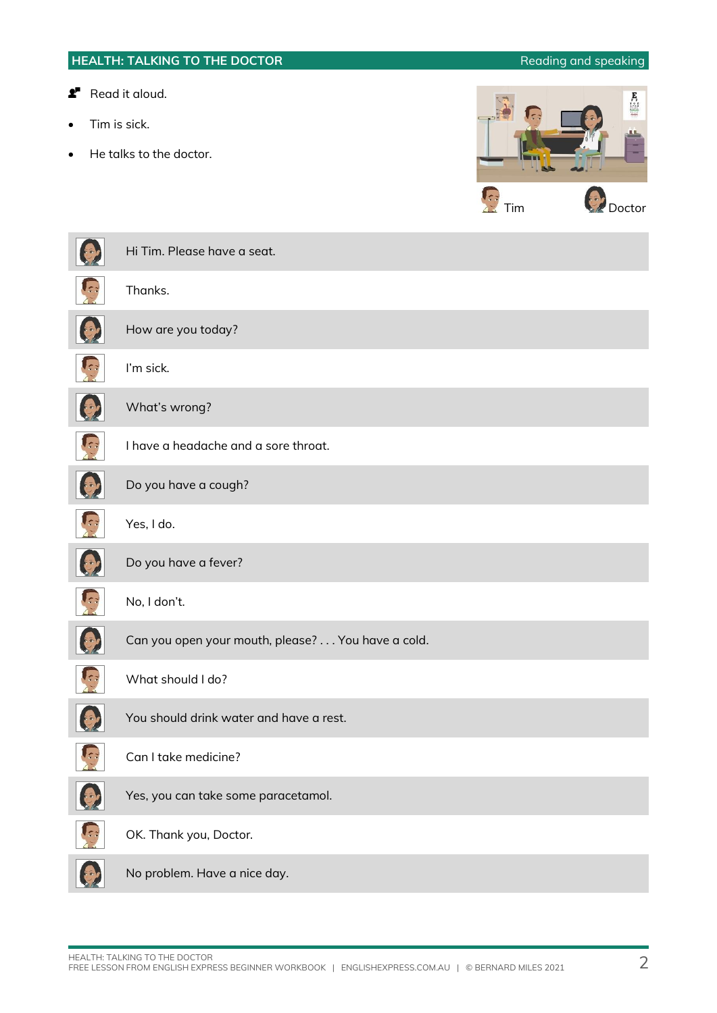# **HEALTH: TALKING TO THE DOCTOR Reading and speaking** Reading and speaking **Read it aloud.**  $\begin{bmatrix} \mathbf{E} \\ \mathbf{F} \\ \vdots \\ \mathbf{F} \end{bmatrix}$ Tim is sick. He talks to the doctor. **Tim** C<sub>2</sub> Doctor Hi Tim. Please have a seat. Thanks. How are you today? I'm sick. What's wrong? I have a headache and a sore throat. Do you have a cough? Yes, I do. Do you have a fever? No, I don't. Can you open your mouth, please? . . . You have a cold. What should I do? You should drink water and have a rest. Can I take medicine?

Yes, you can take some paracetamol.

OK. Thank you, Doctor.

No problem. Have a nice day.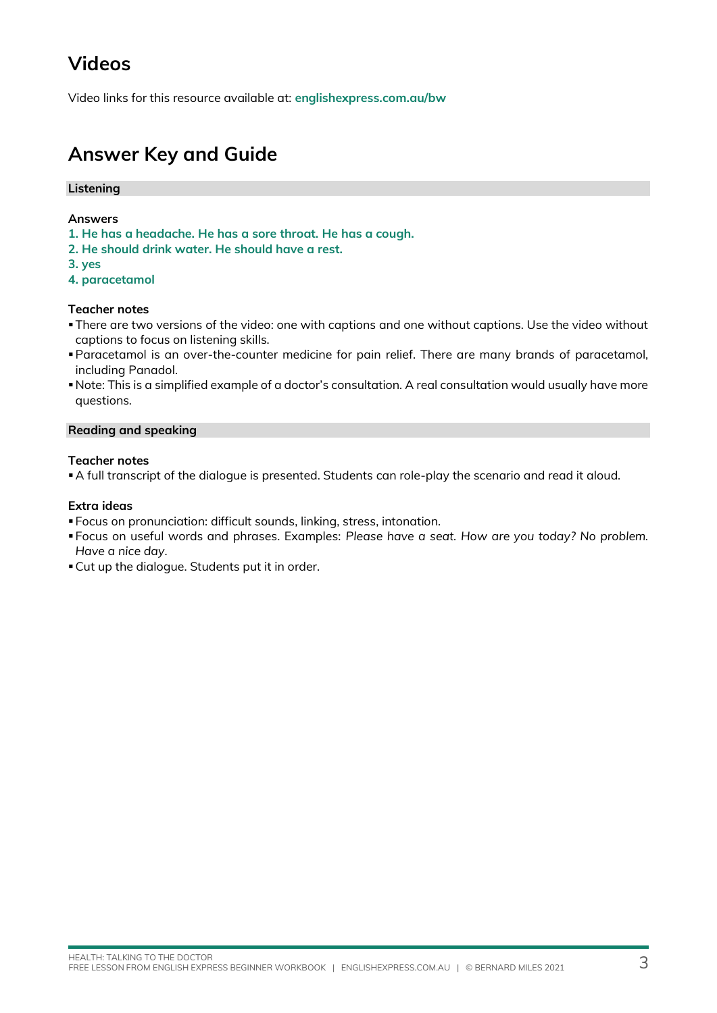## **Videos**

Video links for this resource available at: **[englishexpress.com.au/bw](https://www.englishexpress.com.au/bw)**

### **Answer Key and Guide**

#### **Listening**

#### **Answers**

- **1. He has a headache. He has a sore throat. He has a cough.**
- **2. He should drink water. He should have a rest.**
- **3. yes**
- **4. paracetamol**

#### **Teacher notes**

- ▪There are two versions of the video: one with captions and one without captions. Use the video without captions to focus on listening skills.
- ▪Paracetamol is an over-the-counter medicine for pain relief. There are many brands of paracetamol, including Panadol.
- ▪Note: This is a simplified example of a doctor's consultation. A real consultation would usually have more questions.

#### **Reading and speaking**

#### **Teacher notes**

▪A full transcript of the dialogue is presented. Students can role-play the scenario and read it aloud.

#### **Extra ideas**

- Focus on pronunciation: difficult sounds, linking, stress, intonation.
- Focus on useful words and phrases. Examples: *Please have a seat. How are you today? No problem. Have a nice day.*
- Cut up the dialogue. Students put it in order.